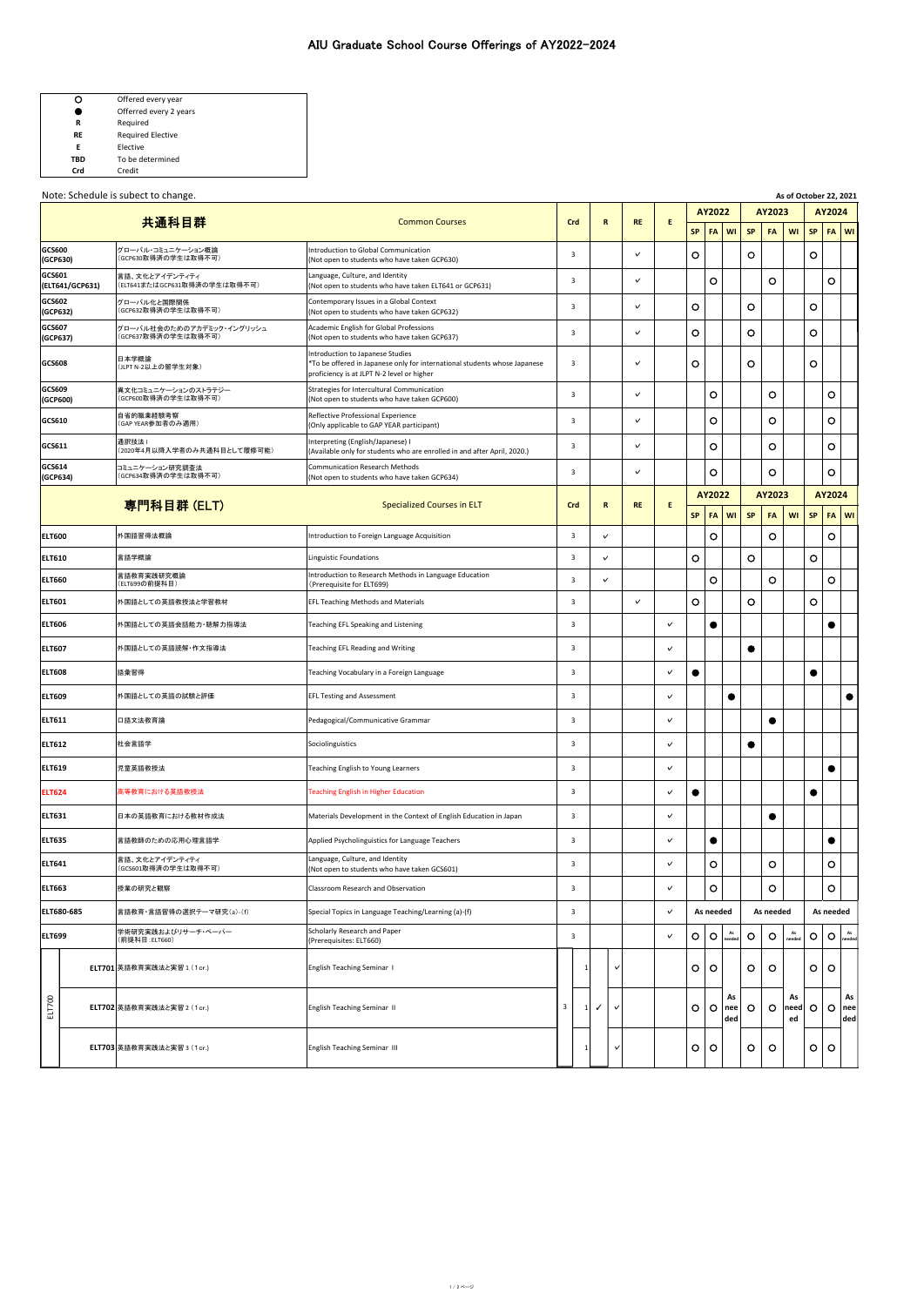|     | Offered every year       |
|-----|--------------------------|
|     | Offerred every 2 years   |
| R   | Reguired                 |
| RF  | <b>Required Elective</b> |
| F   | Elective                 |
| TBD | To be determined         |
| ne. | Credit                   |

Note: Schedule is subect to change. **As of October 22, 2021** 

**GCS600 (GCP630)**

**GCS601**

**GCS602 (GCP632)**

**GCS607 (GCP637)**

**GCS609 (GCP600)**

**GCS614 (GCP634)**

**SP FA WI SP FA WI SP FA WI** グローバル・コミュニケーション概論 (GCP630取得済の学生は取得不可) Introduction to Global Communication (Not open to students who have taken GCP630) <sup>3</sup> **✓** ○ <sup>〇</sup> ○ **(ELT641/GCP631)** 言語、文化とアイデンティティ (ELT641またはGCP631取得済の学生は取得不可) Language, Culture, and Identity (Not open to students who have taken ELT641 or GCP631) <sup>3</sup> **✓** ○ ○ ○ グローバル化と国際関係 (GCP632取得済の学生は取得不可) Contemporary Issues in a Global Context (Not open to students who have taken GCP632) <sup>3</sup> **✓** ○ ○ ○ グローバル社会のためのアカデミック・イングリッシュ (GCP637取得済の学生は取得不可) Academic English for Global Professions (Not open to students who have taken GCP637) <sup>3</sup> **✓** ○ ○ ○ **GCS608** 日本学概論 (JLPT N-2以上の留学生対象) Introduction to Japanese Studies \*To be offered in Japanese only for international students whose Japanese proficiency is at JLPT N-2 level or higher 3 **| | v | | |O | | | O |** | | |O 異文化コミュニケーションのストラテジー (GCP600取得済の学生は取得不可) Strategies for Intercultural Communication (Not open to students who have taken GCP600) <sup>3</sup> **✓** ○ ○ ○ **GCS610 自省的職業経験考察**<br>(GAP YEAR参加者のみ適用) Reflective Professional Experience (Only applicable to GAP YEAR participant) <sup>3</sup> **✓** ○ ○ ○ **GCS611** 通訳技法 I (2020年4月以降入学者のみ共通科目として履修可能) Interpreting (English/Japanese) I Interpreting (English/Japanese) **i**<br>(Available only for students who are enrolled in and after April, 2020.) **3** △ △ △ △ △ △ △ △ △ △ △ △ △ △ △ △ △ △ コミュニケーション研究調査法 (GCP634取得済の学生は取得不可) Communication Research Methods (Not open to students who have taken GCP634) <sup>3</sup> **✓** ○ ○ ○ **ELT600 小国語習得法概論 Introduction to Foreign Language Acquisition 3 カランプ マンプレント トランプ マンプログラム トランプ マンプログラム しょうしょう しょう ELT610** 言語学概論 Linguistic Foundations 3 **✓** ○ ○ ○ **ELT660** 言語教育実践研究概論 (ELT699の前提科目) Introduction to Research Methods in Language Education (Prerequisite for ELT699) <sup>3</sup> **✓** ○ ○ ○ **ELT601** 外国語としての英語教授法と学習教材 EFL Teaching Methods and Materials 3 **✓** ○ ○ ○ **ELT606** 外国語としての英語会話能力・聴解力指導法 Teaching EFL Speaking and Listening 3 **✓** ● ● **ELT607** 外国語としての英語読解・作文指導法 Teaching EFL Reading and Writing 3 **✓** ● **ELT608** 語彙習得 Teaching Vocabulary in a Foreign Language 3 **✓** ● ● **ELT609** 外国語としての英語の試験と評価 EFL Testing and Assessment 3 **✓** ● ● 共通科目群 Common Courses **Crd R RE E** 専門科目群 (ELT) Specialized Courses in ELT **Crd R RE E AY2022 AY2023 AY2024 SP FA WI SP FA WI SP FA WI**

| <b>ELT611</b> | 口語文法教育論                               | Pedagogical/Communicative Grammar                                               | 3             |              | $\checkmark$ |                    |              |         |           |              |         |                             |
|---------------|---------------------------------------|---------------------------------------------------------------------------------|---------------|--------------|--------------|--------------------|--------------|---------|-----------|--------------|---------|-----------------------------|
| <b>ELT612</b> | 社会言語学                                 | Sociolinguistics                                                                | 3             |              | $\checkmark$ |                    |              |         |           |              |         |                             |
| <b>ELT619</b> | 児童英語教授法                               | Teaching English to Young Learners                                              | 3             |              | $\checkmark$ |                    |              |         |           |              |         |                             |
| <b>ELT624</b> | 高等教育における英語教授法                         | <b>Teaching English in Higher Education</b>                                     | 3             |              | $\checkmark$ |                    |              |         |           |              |         |                             |
| <b>ELT631</b> | 日本の英語教育における教材作成法                      | Materials Development in the Context of English Education in Japan              | 3             |              | $\checkmark$ |                    |              |         |           |              |         |                             |
| <b>ELT635</b> | 言語教師のための応用心理言語学                       | Applied Psycholinguistics for Language Teachers                                 | 3             |              | $\checkmark$ | $\cdot$            |              |         |           |              |         |                             |
| <b>ELT641</b> | 言語、文化とアイデンティティ<br>(GCS601取得済の学生は取得不可) | Language, Culture, and Identity<br>(Not open to students who have taken GCS601) | 3             |              | $\checkmark$ | $\circ$            |              |         | O         |              |         | $\circ$                     |
| <b>ELT663</b> | 授業の研究と観察                              | <b>Classroom Research and Observation</b>                                       | 3             |              | $\checkmark$ | $\circ$            |              |         | O         |              |         | $\circ$                     |
| ELT680-685    | 言語教育・言語習得の選択テーマ研究(a)-(f)              | Special Topics in Language Teaching/Learning (a)-(f)                            | 3             |              | $\checkmark$ | As needed          |              |         | As needed |              |         | As needed                   |
| <b>ELT699</b> | 学術研究実践およびリサーチ・ペーパー<br>(前提科目: ELT660)  | Scholarly Research and Paper<br>(Prerequisites: ELT660)                         | 3             |              | $\checkmark$ | $\circ$<br>$\circ$ | As<br>needed | $\circ$ | $\circ$   | As<br>needed | $\circ$ | $\bigcirc$ $\bigcirc$ $A_s$ |
|               | <b>ELT701 英語教育実践法と実習 1 (1cr.)</b>     | <b>English Teaching Seminar 1</b>                                               | $1\mathsf{I}$ | $\checkmark$ |              | $\circ$<br>$\circ$ |              | O       | $\circ$   |              | $\circ$ | $\circ$                     |

**AY2022 AY2023 AY2024**

|  | ELT702 英語教育実践法と実習 2 (1 cr.)       | English Teaching Seminar II  |   |  | $\circ$ | O | As<br>nee<br>ded | $\circ$ | ⌒<br>ັ | As<br>$ need $ $O$<br>ed |   | As <sub>1</sub><br>$O$   nee<br>ded |
|--|-----------------------------------|------------------------------|---|--|---------|---|------------------|---------|--------|--------------------------|---|-------------------------------------|
|  | <b>ELT703 英語教育実践法と実習 3 (1cr.)</b> | English Teaching Seminar III | ᅩ |  | ⌒<br>Ō  | O |                  | O.      | ⌒<br>ີ |                          | O |                                     |